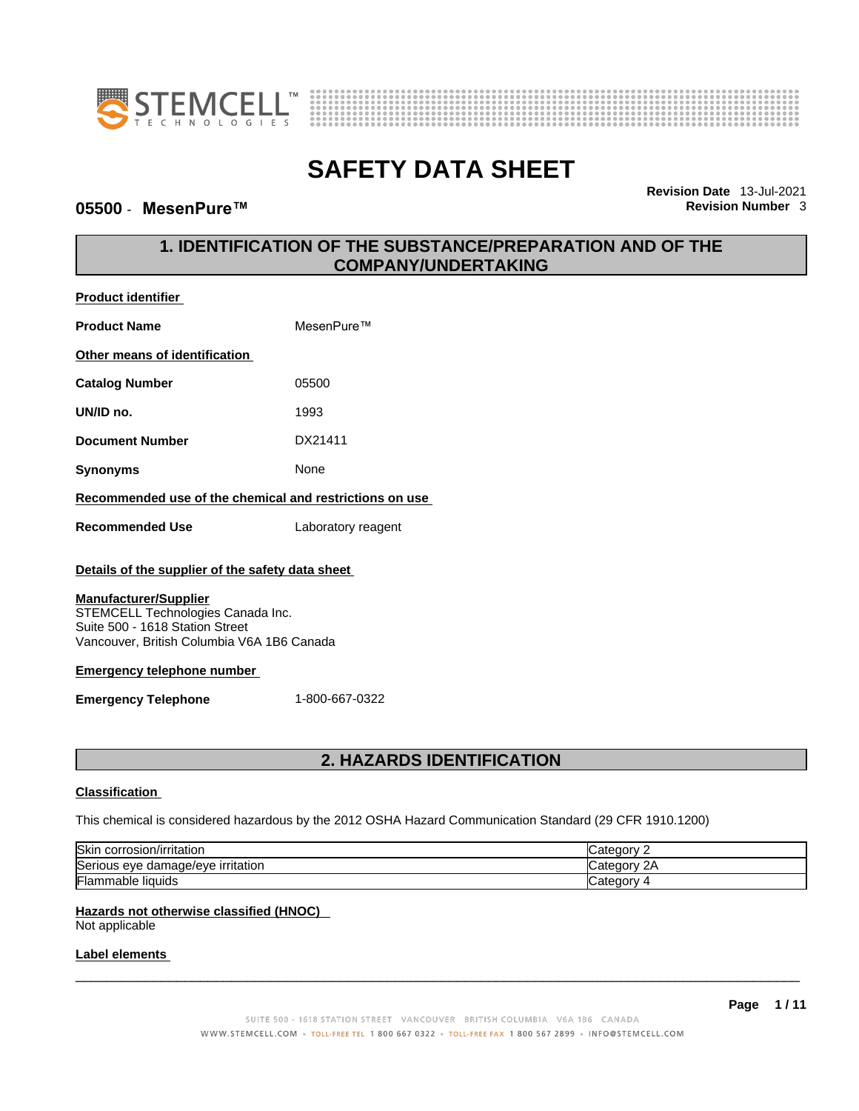



# **05500** - **MesenPure™ Revision Number** 3

**Revision Date** 13-Jul-2021

# **1. IDENTIFICATION OF THE SUBSTANCE/PREPARATION AND OF THE COMPANY/UNDERTAKING**

| <b>Product identifier</b>                                                                                                                          |                                                                                                         |  |  |
|----------------------------------------------------------------------------------------------------------------------------------------------------|---------------------------------------------------------------------------------------------------------|--|--|
| MesenPure™<br><b>Product Name</b>                                                                                                                  |                                                                                                         |  |  |
| Other means of identification                                                                                                                      |                                                                                                         |  |  |
| <b>Catalog Number</b>                                                                                                                              | 05500                                                                                                   |  |  |
| UN/ID no.                                                                                                                                          | 1993                                                                                                    |  |  |
| <b>Document Number</b>                                                                                                                             | DX21411                                                                                                 |  |  |
| None<br><b>Synonyms</b>                                                                                                                            |                                                                                                         |  |  |
| Recommended use of the chemical and restrictions on use                                                                                            |                                                                                                         |  |  |
| <b>Recommended Use</b>                                                                                                                             | Laboratory reagent                                                                                      |  |  |
| Details of the supplier of the safety data sheet                                                                                                   |                                                                                                         |  |  |
| <b>Manufacturer/Supplier</b><br>STEMCELL Technologies Canada Inc.<br>Suite 500 - 1618 Station Street<br>Vancouver, British Columbia V6A 1B6 Canada |                                                                                                         |  |  |
| <b>Emergency telephone number</b>                                                                                                                  |                                                                                                         |  |  |
| <b>Emergency Telephone</b>                                                                                                                         | 1-800-667-0322                                                                                          |  |  |
|                                                                                                                                                    |                                                                                                         |  |  |
| 2. HAZARDS IDENTIFICATION                                                                                                                          |                                                                                                         |  |  |
| <b>Classification</b>                                                                                                                              |                                                                                                         |  |  |
|                                                                                                                                                    | This chemical is considered hazardous by the 2012 OSHA Hazard Communication Standard (29 CFR 1910.1200) |  |  |

| Skir<br>corrosion/irritation                    | ategory<br>v<br>valo  |
|-------------------------------------------------|-----------------------|
| ∽<br>amage/eve irritation<br>Serious eve<br>dar | $\sim$<br>∵ategory: ت |
| <br>-lammable liquids                           | Jutegory $\Lambda$    |

### **Hazards not otherwise classified (HNOC)**

Not applicable

### **Label elements**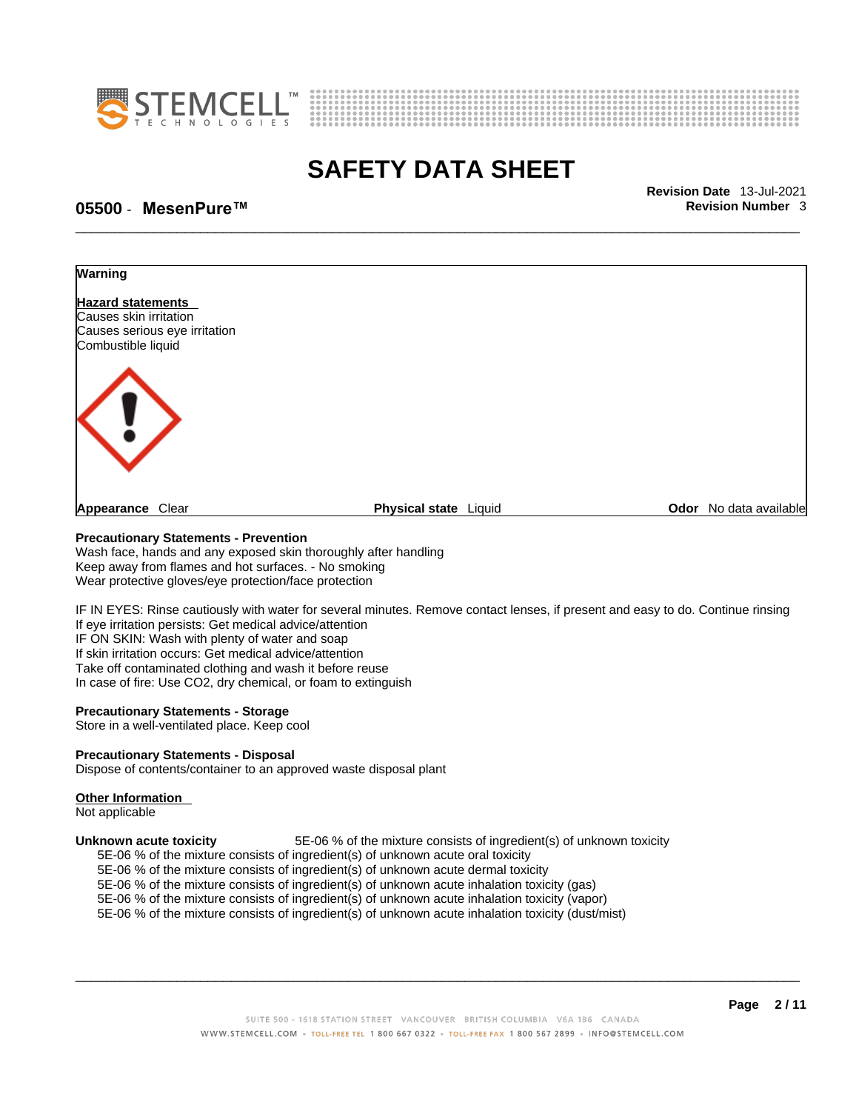



\_\_\_\_\_\_\_\_\_\_\_\_\_\_\_\_\_\_\_\_\_\_\_\_\_\_\_\_\_\_\_\_\_\_\_\_\_\_\_\_\_\_\_\_\_\_\_\_\_\_\_\_\_\_\_\_\_\_\_\_\_\_\_\_\_\_\_\_\_\_\_\_\_\_\_\_\_\_\_\_\_\_\_\_\_\_\_\_\_\_\_\_\_ **Revision Date** 13-Jul-2021

## **05500** - **MesenPure™ Revision Number** 3



#### **Precautionary Statements - Prevention**

Wash face, hands and any exposed skin thoroughly after handling Keep away from flames and hot surfaces. - No smoking Wear protective gloves/eye protection/face protection

IF IN EYES: Rinse cautiously with water for several minutes. Remove contact lenses, if present and easy to do. Continue rinsing If eye irritation persists: Get medical advice/attention IF ON SKIN: Wash with plenty of water and soap If skin irritation occurs: Get medical advice/attention Take off contaminated clothing and wash it before reuse In case of fire: Use CO2, dry chemical, or foam to extinguish

#### **Precautionary Statements - Storage**

Store in a well-ventilated place. Keep cool

#### **Precautionary Statements - Disposal**

Dispose of contents/container to an approved waste disposal plant

#### **Other Information**

Not applicable

**Unknown acute toxicity** 5E-06 % of the mixture consists of ingredient(s) of unknown toxicity

5E-06 % of the mixture consists of ingredient(s) of unknown acute oral toxicity

5E-06 % of the mixture consists of ingredient(s) of unknown acute dermal toxicity

5E-06 % of the mixture consists of ingredient(s) of unknown acute inhalation toxicity (gas)

5E-06 % of the mixture consists of ingredient(s) of unknown acute inhalation toxicity (vapor)

5E-06 % of the mixture consists of ingredient(s) of unknown acute inhalation toxicity (dust/mist)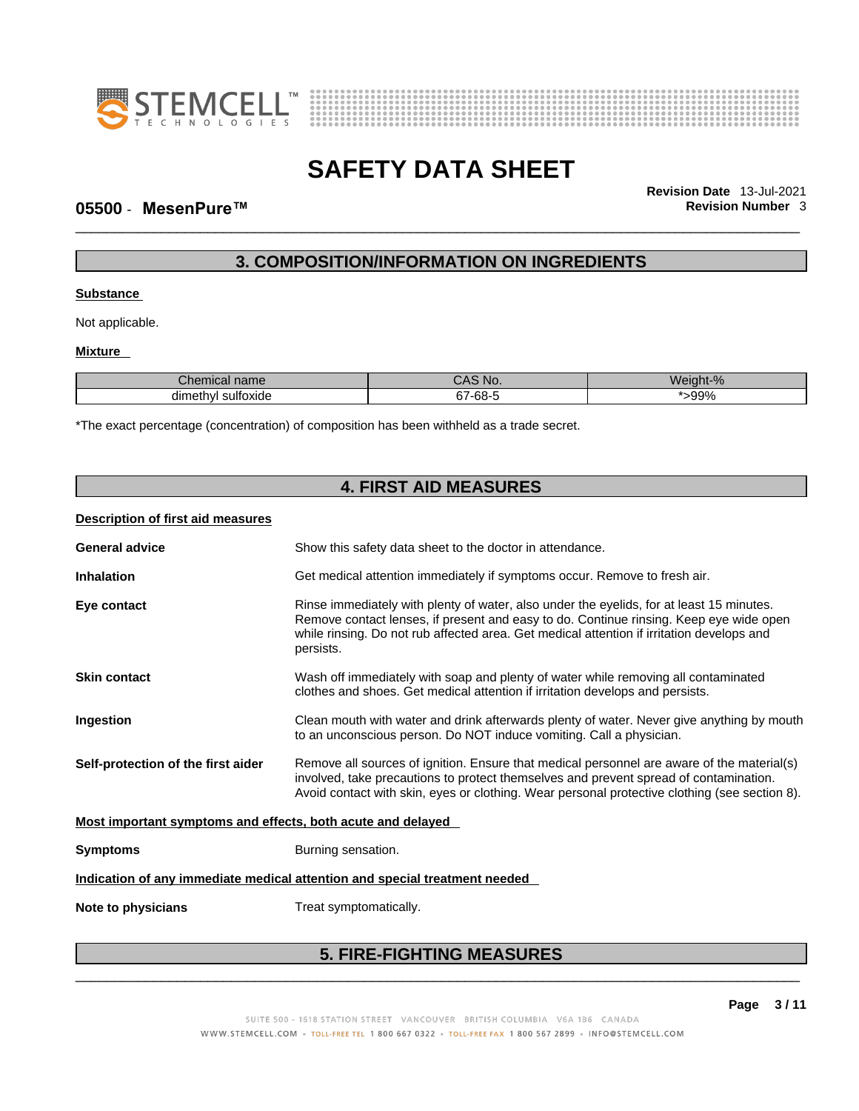



\_\_\_\_\_\_\_\_\_\_\_\_\_\_\_\_\_\_\_\_\_\_\_\_\_\_\_\_\_\_\_\_\_\_\_\_\_\_\_\_\_\_\_\_\_\_\_\_\_\_\_\_\_\_\_\_\_\_\_\_\_\_\_\_\_\_\_\_\_\_\_\_\_\_\_\_\_\_\_\_\_\_\_\_\_\_\_\_\_\_\_\_\_ **Revision Date** 13-Jul-2021

### **05500** - **MesenPure™ Revision Number** 3

# **3. COMPOSITION/INFORMATION ON INGREDIENTS**

### **Substance**

Not applicable.

### **Mixture**

| nical name<br>$\sim$ $\sim$<br>UIGII | CAS NO.  | Weight-% |
|--------------------------------------|----------|----------|
| l sultoxide<br>dimethyl              | 7-68-7 ن | -99%     |

\*The exact percentage (concentration) of composition has been withheld as a trade secret.

| <b>4. FIRST AID MEASURES</b>                                |                                                                                                                                                                                                                                                                                              |  |
|-------------------------------------------------------------|----------------------------------------------------------------------------------------------------------------------------------------------------------------------------------------------------------------------------------------------------------------------------------------------|--|
| Description of first aid measures                           |                                                                                                                                                                                                                                                                                              |  |
| <b>General advice</b>                                       | Show this safety data sheet to the doctor in attendance.                                                                                                                                                                                                                                     |  |
| <b>Inhalation</b>                                           | Get medical attention immediately if symptoms occur. Remove to fresh air.                                                                                                                                                                                                                    |  |
| Eye contact                                                 | Rinse immediately with plenty of water, also under the eyelids, for at least 15 minutes.<br>Remove contact lenses, if present and easy to do. Continue rinsing. Keep eye wide open<br>while rinsing. Do not rub affected area. Get medical attention if irritation develops and<br>persists. |  |
| <b>Skin contact</b>                                         | Wash off immediately with soap and plenty of water while removing all contaminated<br>clothes and shoes. Get medical attention if irritation develops and persists.                                                                                                                          |  |
| Ingestion                                                   | Clean mouth with water and drink afterwards plenty of water. Never give anything by mouth<br>to an unconscious person. Do NOT induce vomiting. Call a physician.                                                                                                                             |  |
| Self-protection of the first aider                          | Remove all sources of ignition. Ensure that medical personnel are aware of the material(s)<br>involved, take precautions to protect themselves and prevent spread of contamination.<br>Avoid contact with skin, eyes or clothing. Wear personal protective clothing (see section 8).         |  |
| Most important symptoms and effects, both acute and delayed |                                                                                                                                                                                                                                                                                              |  |
| <b>Symptoms</b>                                             | Burning sensation.                                                                                                                                                                                                                                                                           |  |
|                                                             | Indication of any immediate medical attention and special treatment needed                                                                                                                                                                                                                   |  |
| Note to physicians                                          | Treat symptomatically.                                                                                                                                                                                                                                                                       |  |
|                                                             |                                                                                                                                                                                                                                                                                              |  |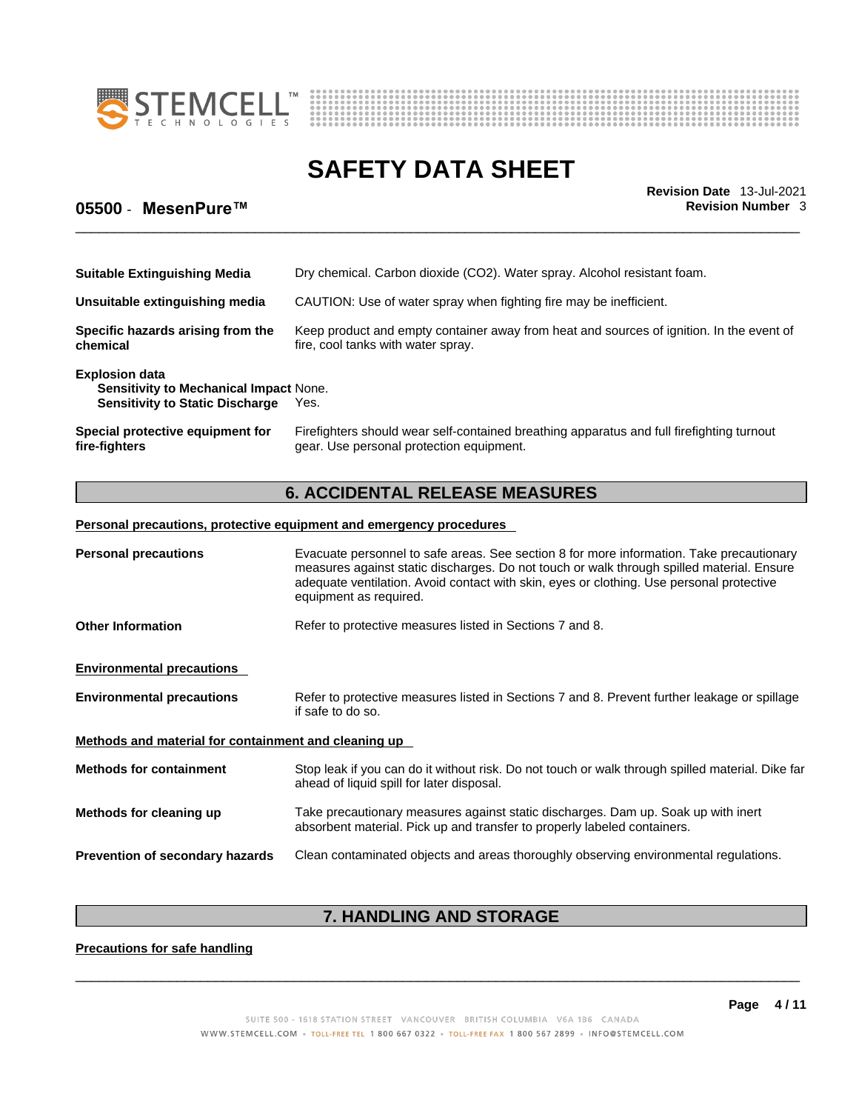



\_\_\_\_\_\_\_\_\_\_\_\_\_\_\_\_\_\_\_\_\_\_\_\_\_\_\_\_\_\_\_\_\_\_\_\_\_\_\_\_\_\_\_\_\_\_\_\_\_\_\_\_\_\_\_\_\_\_\_\_\_\_\_\_\_\_\_\_\_\_\_\_\_\_\_\_\_\_\_\_\_\_\_\_\_\_\_\_\_\_\_\_\_ **Revision Date** 13-Jul-2021

# **05500** - **MesenPure™ Revision Number** 3

| <b>Suitable Extinguishing Media</b>                                                                              | Dry chemical. Carbon dioxide (CO2). Water spray. Alcohol resistant foam.                                                              |  |
|------------------------------------------------------------------------------------------------------------------|---------------------------------------------------------------------------------------------------------------------------------------|--|
| Unsuitable extinguishing media                                                                                   | CAUTION: Use of water spray when fighting fire may be inefficient.                                                                    |  |
| Specific hazards arising from the<br>chemical                                                                    | Keep product and empty container away from heat and sources of ignition. In the event of<br>fire, cool tanks with water spray.        |  |
| <b>Explosion data</b><br><b>Sensitivity to Mechanical Impact None.</b><br><b>Sensitivity to Static Discharge</b> | Yes.                                                                                                                                  |  |
| Special protective equipment for<br>fire-fighters                                                                | Firefighters should wear self-contained breathing apparatus and full firefighting turnout<br>gear. Use personal protection equipment. |  |

# **6. ACCIDENTAL RELEASE MEASURES**

### **Personal precautions, protective equipment and emergency procedures**

| <b>Personal precautions</b>                                                                                             | Evacuate personnel to safe areas. See section 8 for more information. Take precautionary<br>measures against static discharges. Do not touch or walk through spilled material. Ensure<br>adequate ventilation. Avoid contact with skin, eyes or clothing. Use personal protective<br>equipment as required. |  |
|-------------------------------------------------------------------------------------------------------------------------|-------------------------------------------------------------------------------------------------------------------------------------------------------------------------------------------------------------------------------------------------------------------------------------------------------------|--|
| <b>Other Information</b><br>Refer to protective measures listed in Sections 7 and 8.                                    |                                                                                                                                                                                                                                                                                                             |  |
| <b>Environmental precautions</b>                                                                                        |                                                                                                                                                                                                                                                                                                             |  |
| <b>Environmental precautions</b>                                                                                        | Refer to protective measures listed in Sections 7 and 8. Prevent further leakage or spillage<br>if safe to do so.                                                                                                                                                                                           |  |
| Methods and material for containment and cleaning up                                                                    |                                                                                                                                                                                                                                                                                                             |  |
| <b>Methods for containment</b>                                                                                          | Stop leak if you can do it without risk. Do not touch or walk through spilled material. Dike far<br>ahead of liquid spill for later disposal.                                                                                                                                                               |  |
| Methods for cleaning up                                                                                                 | Take precautionary measures against static discharges. Dam up. Soak up with inert<br>absorbent material. Pick up and transfer to properly labeled containers.                                                                                                                                               |  |
| Prevention of secondary hazards<br>Clean contaminated objects and areas thoroughly observing environmental regulations. |                                                                                                                                                                                                                                                                                                             |  |

# **7. HANDLING AND STORAGE**

**Precautions for safe handling**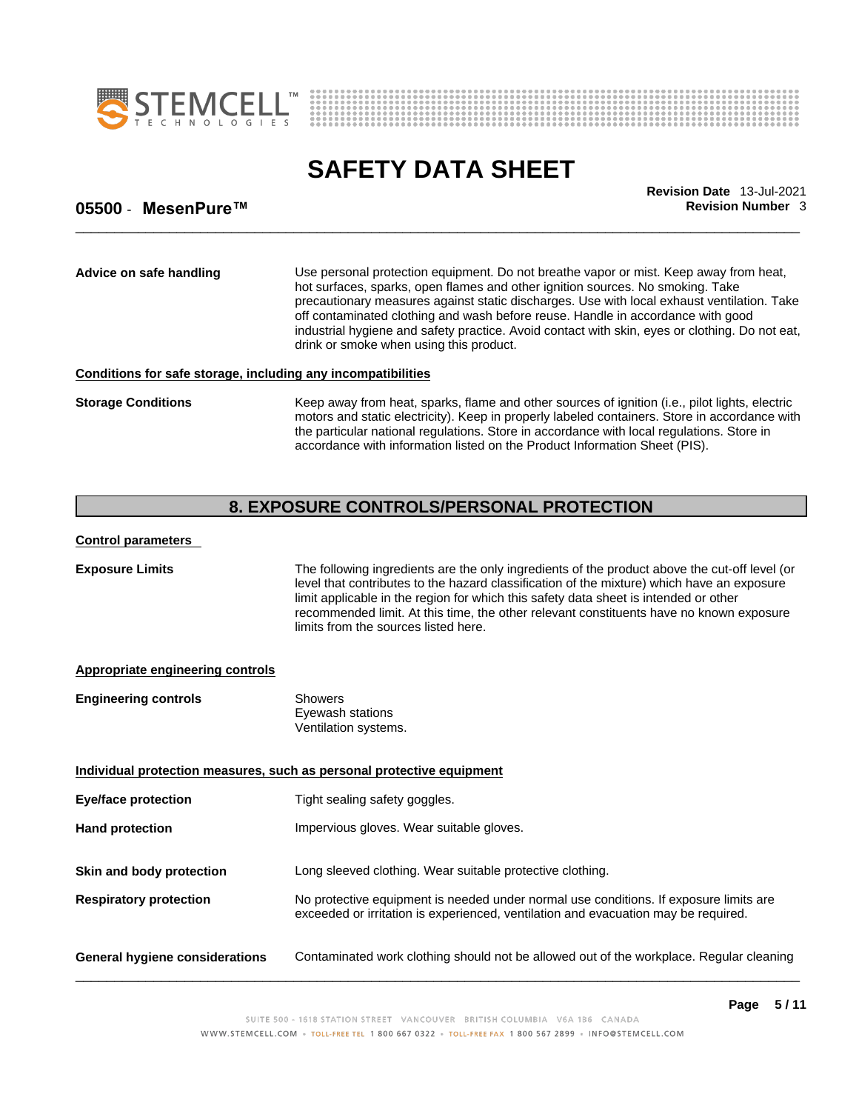



\_\_\_\_\_\_\_\_\_\_\_\_\_\_\_\_\_\_\_\_\_\_\_\_\_\_\_\_\_\_\_\_\_\_\_\_\_\_\_\_\_\_\_\_\_\_\_\_\_\_\_\_\_\_\_\_\_\_\_\_\_\_\_\_\_\_\_\_\_\_\_\_\_\_\_\_\_\_\_\_\_\_\_\_\_\_\_\_\_\_\_\_\_ **Revision Date** 13-Jul-2021

## **05500** - **MesenPure™ Revision Number** 3

**Advice on safe handling** Use personal protection equipment.Do not breathe vapor or mist. Keep away from heat, hot surfaces, sparks, open flames and other ignition sources. No smoking. Take precautionary measures against static discharges. Use with local exhaust ventilation. Take off contaminated clothing and wash before reuse. Handle in accordance with good industrial hygiene and safety practice. Avoid contact with skin, eyes or clothing. Do not eat, drink or smoke when using this product.

#### **Conditions for safe storage, including any incompatibilities**

**Storage Conditions** Keep away from heat, sparks, flame and other sources of ignition (i.e., pilot lights, electric motors and static electricity). Keep in properly labeled containers. Store in accordance with the particular national regulations. Store in accordance with local regulations. Store in accordance with information listed on the Product Information Sheet (PIS).

# **8. EXPOSURE CONTROLS/PERSONAL PROTECTION**

### **Control parameters**

**Exposure Limits** The following ingredients are the only ingredients of the product above the cut-off level (or level that contributes to the hazard classification of the mixture) which have an exposure limit applicable in the region for which this safety data sheet is intended or other recommended limit. At this time, the other relevant constituents have no known exposure limits from the sources listed here.

### **Appropriate engineering controls**

| <b>Engineering controls</b> | Showers              |  |
|-----------------------------|----------------------|--|
|                             | Eyewash stations     |  |
|                             | Ventilation systems. |  |

| Individual protection measures, such as personal protective equipment |                                                                                                                                                                             |  |  |
|-----------------------------------------------------------------------|-----------------------------------------------------------------------------------------------------------------------------------------------------------------------------|--|--|
| <b>Eye/face protection</b>                                            | Tight sealing safety goggles.                                                                                                                                               |  |  |
| <b>Hand protection</b>                                                | Impervious gloves. Wear suitable gloves.                                                                                                                                    |  |  |
| Skin and body protection                                              | Long sleeved clothing. Wear suitable protective clothing.                                                                                                                   |  |  |
| <b>Respiratory protection</b>                                         | No protective equipment is needed under normal use conditions. If exposure limits are<br>exceeded or irritation is experienced, ventilation and evacuation may be required. |  |  |
| <b>General hygiene considerations</b>                                 | Contaminated work clothing should not be allowed out of the workplace. Regular cleaning                                                                                     |  |  |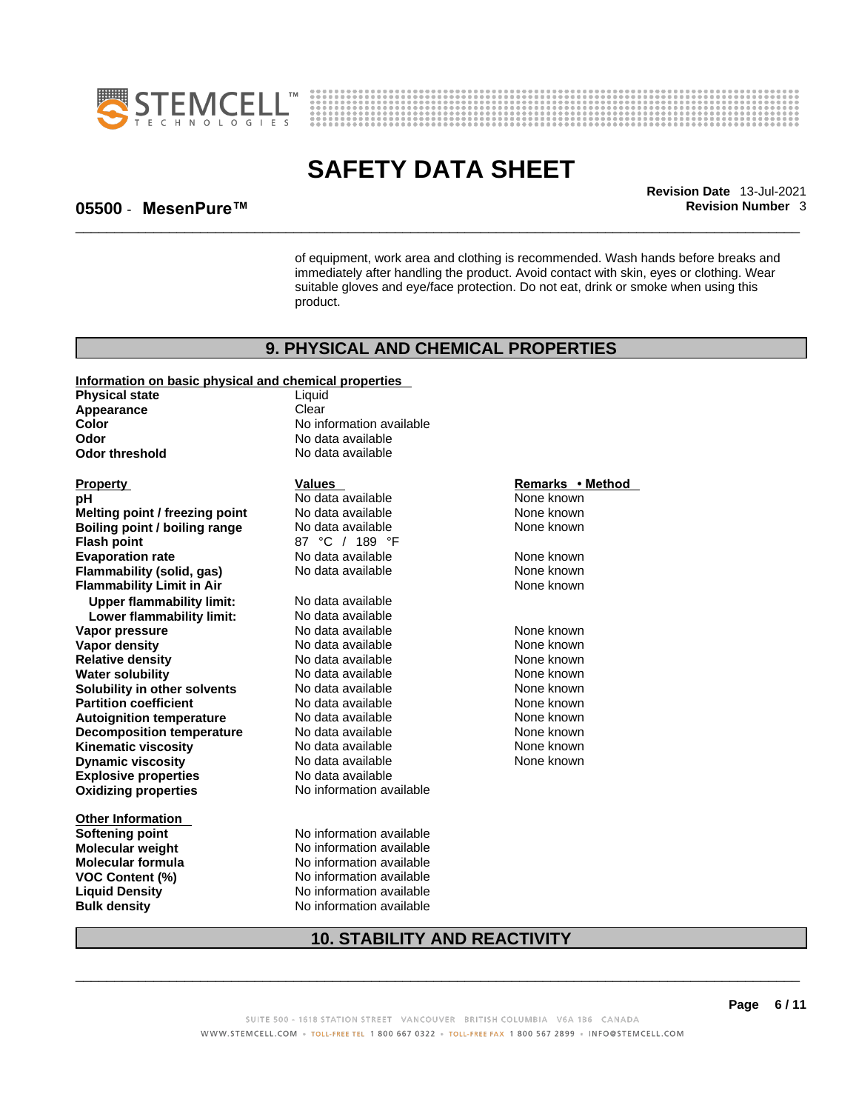



\_\_\_\_\_\_\_\_\_\_\_\_\_\_\_\_\_\_\_\_\_\_\_\_\_\_\_\_\_\_\_\_\_\_\_\_\_\_\_\_\_\_\_\_\_\_\_\_\_\_\_\_\_\_\_\_\_\_\_\_\_\_\_\_\_\_\_\_\_\_\_\_\_\_\_\_\_\_\_\_\_\_\_\_\_\_\_\_\_\_\_\_\_ **Revision Date** 13-Jul-2021

### **05500** - **MesenPure™ Revision Number** 3

of equipment, work area and clothing is recommended. Wash hands before breaks and immediately after handling the product. Avoid contact with skin, eyes or clothing. Wear suitable gloves and eye/face protection. Do not eat, drink or smoke when using this product.

### **9. PHYSICAL AND CHEMICAL PROPERTIES**

#### **Information on basic physical and chemical properties**

**Physical state** Liquid<br> **Appearance** Clear **Appearance Color Color Color Color Color Color Color No** data available **Odor Odor threshold** No data available

**Explosive properties**<br> **Oxidizing properties**<br> **Oxidizing properties**<br> **No information available Oxidizing properties Property Construction Construction Construction Values Method Property Remarks • Method pH and Mone Known Melting point / freezing point** No data available None known<br> **Boiling point / boiling range** No data available None known **Boiling point / boiling range Flash point CO**<br> **Evaporation rate CO**<br> **Evaporation rate No data available Evaporation rate Conservential School** None and None known<br> **Flammability (solid. gas)** No data available **None known** None known **Flammability (solid, gas)** No data available None known<br> **Flammability Limit in Air** None Known **Flammability Limit in Air Upper flammability limit:** No data available **Lower flammability limit:** No data available **Vapor pressure** 1980 Control No data available 1980 None known<br> **Vapor density** 1980 No data available 1980 None known **Vapor density Relative density No data available None known Water solubility** No data available None known **Solubility in other solvents** No data available None known<br> **Partition coefficient** No data available None known **Partition coefficient**<br> **Autoignition temperature**<br>
No data available None None known<br>
None known **Autoignition temperature** No data available<br> **Decomposition temperature** No data available **Decomposition temperature** No data available None None known **Kinematic viscosity No data available None known Dynamic viscosity** No data available

**Other Information Softening point** No information available **Bulk density No information available** 

**Odor** No data available

**Prodata available None known**<br>No data available None known

**Molecular weight** No information available **Molecular formula** No information available **VOC Content (%)** No information available **Liquid Density** No information available

# **10. STABILITY AND REACTIVITY**

 $\_$  ,  $\_$  ,  $\_$  ,  $\_$  ,  $\_$  ,  $\_$  ,  $\_$  ,  $\_$  ,  $\_$  ,  $\_$  ,  $\_$  ,  $\_$  ,  $\_$  ,  $\_$  ,  $\_$  ,  $\_$  ,  $\_$  ,  $\_$  ,  $\_$  ,  $\_$  ,  $\_$  ,  $\_$  ,  $\_$  ,  $\_$  ,  $\_$  ,  $\_$  ,  $\_$  ,  $\_$  ,  $\_$  ,  $\_$  ,  $\_$  ,  $\_$  ,  $\_$  ,  $\_$  ,  $\_$  ,  $\_$  ,  $\_$  ,

None known

SUITE 500 - 1618 STATION STREET VANCOUVER BRITISH COLUMBIA V6A 1B6 CANADA WWW.STEMCELL.COM · TOLL-FREE TEL 1800 667 0322 · TOLL-FREE FAX 1800 567 2899 · INFO@STEMCELL.COM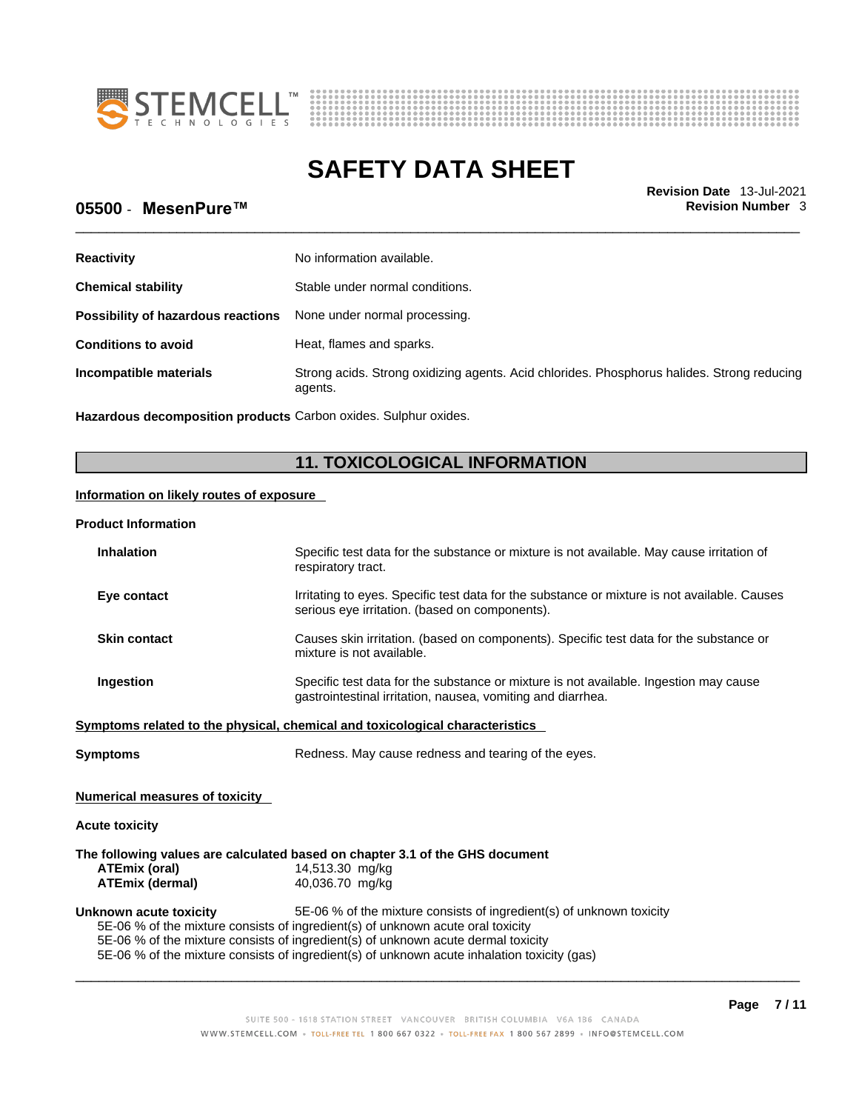



\_\_\_\_\_\_\_\_\_\_\_\_\_\_\_\_\_\_\_\_\_\_\_\_\_\_\_\_\_\_\_\_\_\_\_\_\_\_\_\_\_\_\_\_\_\_\_\_\_\_\_\_\_\_\_\_\_\_\_\_\_\_\_\_\_\_\_\_\_\_\_\_\_\_\_\_\_\_\_\_\_\_\_\_\_\_\_\_\_\_\_\_\_ **Revision Date** 13-Jul-2021

# **05500** - **MesenPure™ Revision Number** 3

| <b>Reactivity</b>                  | No information available.                                                                             |
|------------------------------------|-------------------------------------------------------------------------------------------------------|
| <b>Chemical stability</b>          | Stable under normal conditions.                                                                       |
| Possibility of hazardous reactions | None under normal processing.                                                                         |
| <b>Conditions to avoid</b>         | Heat, flames and sparks.                                                                              |
| Incompatible materials             | Strong acids. Strong oxidizing agents. Acid chlorides. Phosphorus halides. Strong reducing<br>agents. |

**Hazardous decomposition products** Carbon oxides. Sulphur oxides.

# **11. TOXICOLOGICAL INFORMATION**

### **Information on likely routes of exposure**

#### **Product Information**

| <b>Inhalation</b>                                                                           | Specific test data for the substance or mixture is not available. May cause irritation of<br>respiratory tract.                                      |  |  |
|---------------------------------------------------------------------------------------------|------------------------------------------------------------------------------------------------------------------------------------------------------|--|--|
| Eye contact                                                                                 | Irritating to eyes. Specific test data for the substance or mixture is not available. Causes<br>serious eye irritation. (based on components).       |  |  |
| <b>Skin contact</b>                                                                         | Causes skin irritation. (based on components). Specific test data for the substance or<br>mixture is not available.                                  |  |  |
| <b>Ingestion</b>                                                                            | Specific test data for the substance or mixture is not available. Ingestion may cause<br>gastrointestinal irritation, nausea, vomiting and diarrhea. |  |  |
|                                                                                             | Symptoms related to the physical, chemical and toxicological characteristics                                                                         |  |  |
| <b>Symptoms</b>                                                                             | Redness. May cause redness and tearing of the eyes.                                                                                                  |  |  |
| <b>Numerical measures of toxicity</b>                                                       |                                                                                                                                                      |  |  |
| <b>Acute toxicity</b>                                                                       |                                                                                                                                                      |  |  |
|                                                                                             | The following values are calculated based on chapter 3.1 of the GHS document                                                                         |  |  |
| ATEmix (oral)                                                                               | 14,513.30 mg/kg                                                                                                                                      |  |  |
| ATEmix (dermal)                                                                             | 40,036.70 mg/kg                                                                                                                                      |  |  |
| Unknown acute toxicity                                                                      | 5E-06 % of the mixture consists of ingredient(s) of unknown toxicity                                                                                 |  |  |
| 5E-06 % of the mixture consists of ingredient(s) of unknown acute oral toxicity             |                                                                                                                                                      |  |  |
| 5E-06 % of the mixture consists of ingredient(s) of unknown acute dermal toxicity           |                                                                                                                                                      |  |  |
| 5E-06 % of the mixture consists of ingredient(s) of unknown acute inhalation toxicity (gas) |                                                                                                                                                      |  |  |
|                                                                                             |                                                                                                                                                      |  |  |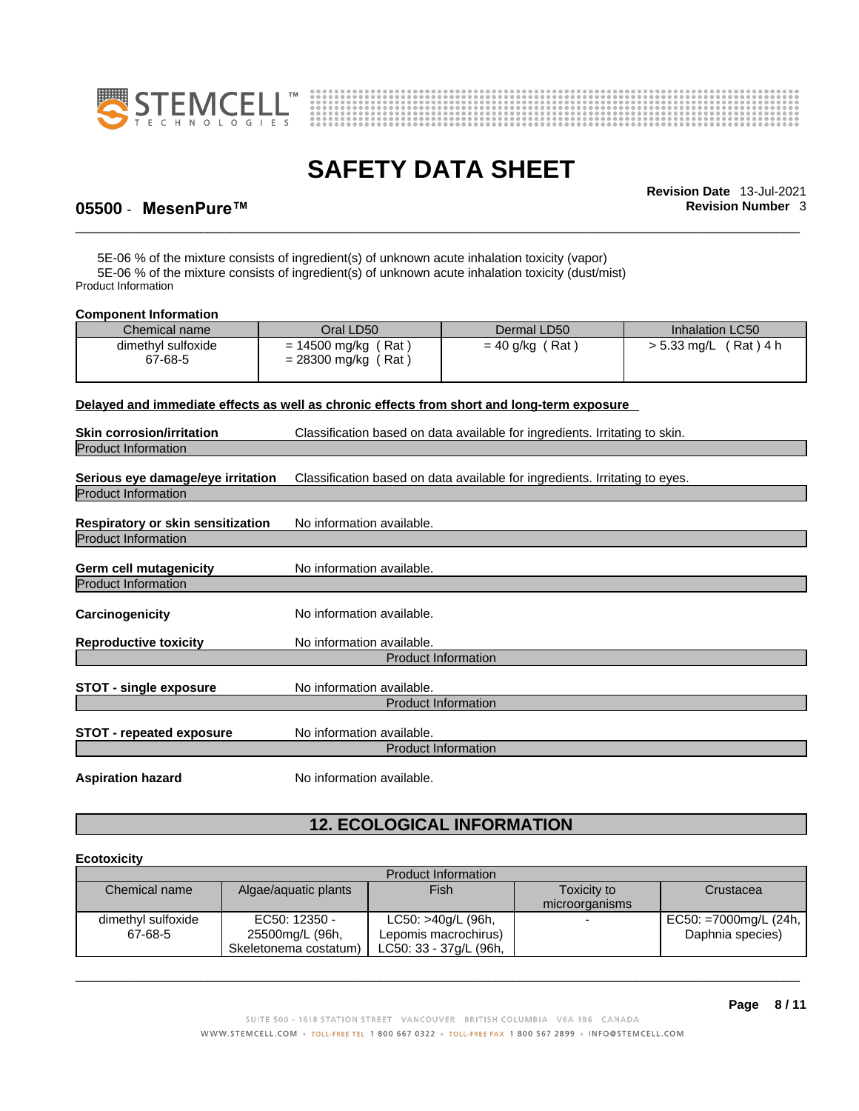



\_\_\_\_\_\_\_\_\_\_\_\_\_\_\_\_\_\_\_\_\_\_\_\_\_\_\_\_\_\_\_\_\_\_\_\_\_\_\_\_\_\_\_\_\_\_\_\_\_\_\_\_\_\_\_\_\_\_\_\_\_\_\_\_\_\_\_\_\_\_\_\_\_\_\_\_\_\_\_\_\_\_\_\_\_\_\_\_\_\_\_\_\_ **Revision Date** 13-Jul-2021

# **05500** - **MesenPure™ Revision Number** 3

5E-06 % of the mixture consists of ingredient(s) of unknown acute inhalation toxicity (vapor) 5E-06 % of the mixture consists of ingredient(s) of unknown acute inhalation toxicity (dust/mist) Product Information

#### **Component Information**

| Chemical name                 | Oral LD50                                              | Dermal LD50       | Inhalation LC50           |
|-------------------------------|--------------------------------------------------------|-------------------|---------------------------|
| dimethyl sulfoxide<br>67-68-5 | ˈ Rat<br>$= 14500$ mg/kg (<br>$= 28300$ mg/kg (<br>Rat | (Rat<br>= 40 g/kg | (Rat)4 h<br>$> 5.33$ mg/L |

#### **Delayed and immediate effects as well as chronic effects from short and long-term exposure**

| <b>Skin corrosion/irritation</b>                                | Classification based on data available for ingredients. Irritating to skin. |  |
|-----------------------------------------------------------------|-----------------------------------------------------------------------------|--|
| <b>Product Information</b>                                      |                                                                             |  |
| Serious eye damage/eye irritation<br><b>Product Information</b> | Classification based on data available for ingredients. Irritating to eyes. |  |
| Respiratory or skin sensitization<br><b>Product Information</b> | No information available.                                                   |  |
| Germ cell mutagenicity<br><b>Product Information</b>            | No information available.                                                   |  |
| Carcinogenicity                                                 | No information available.                                                   |  |
| <b>Reproductive toxicity</b>                                    | No information available.                                                   |  |
|                                                                 | <b>Product Information</b>                                                  |  |
| STOT - single exposure                                          | No information available.<br><b>Product Information</b>                     |  |
| <b>STOT - repeated exposure</b>                                 | No information available.<br><b>Product Information</b>                     |  |
| <b>Aspiration hazard</b>                                        | No information available.                                                   |  |

# **12. ECOLOGICAL INFORMATION**

#### **Ecotoxicity**

| Product Information |                       |                        |                          |                       |
|---------------------|-----------------------|------------------------|--------------------------|-----------------------|
| Chemical name       | Algae/aquatic plants  | Fish                   | Toxicity to              | Crustacea             |
|                     |                       |                        | microorganisms           |                       |
| dimethyl sulfoxide  | EC50: 12350 -         | LC50: >40g/L (96h,     | $\overline{\phantom{0}}$ | EC50: =7000mg/L (24h, |
| 67-68-5             | 25500mg/L (96h,       | Lepomis macrochirus)   |                          | Daphnia species)      |
|                     | Skeletonema costatum) | LC50: 33 - 37g/L (96h. |                          |                       |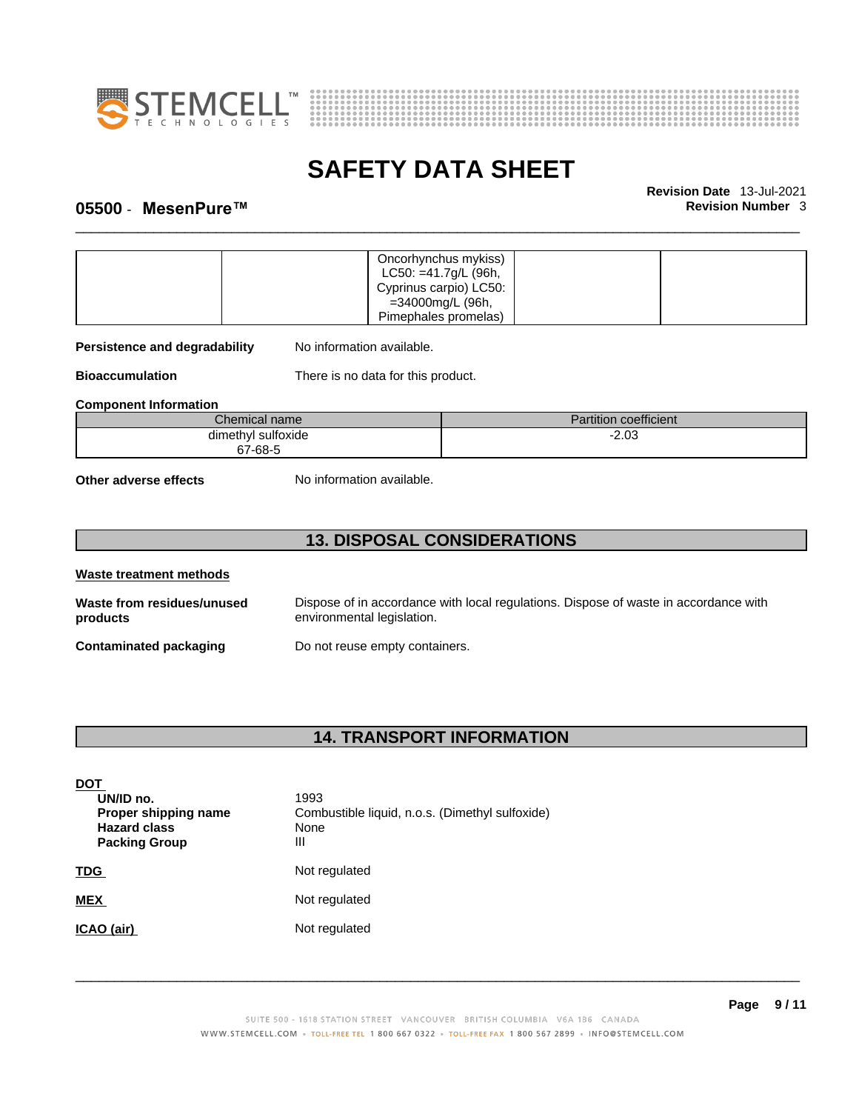



\_\_\_\_\_\_\_\_\_\_\_\_\_\_\_\_\_\_\_\_\_\_\_\_\_\_\_\_\_\_\_\_\_\_\_\_\_\_\_\_\_\_\_\_\_\_\_\_\_\_\_\_\_\_\_\_\_\_\_\_\_\_\_\_\_\_\_\_\_\_\_\_\_\_\_\_\_\_\_\_\_\_\_\_\_\_\_\_\_\_\_\_\_ **Revision Date** 13-Jul-2021

# **05500** - **MesenPure™ Revision Number** 3

|                                    | Oncorhynchus mykiss)               |         |                              |  |
|------------------------------------|------------------------------------|---------|------------------------------|--|
|                                    | $LC50: = 41.7g/L$ (96h,            |         |                              |  |
|                                    | Cyprinus carpio) LC50:             |         |                              |  |
|                                    | =34000mg/L (96h,                   |         |                              |  |
|                                    | Pimephales promelas)               |         |                              |  |
| Persistence and degradability      | No information available.          |         |                              |  |
| <b>Bioaccumulation</b>             | There is no data for this product. |         |                              |  |
| <b>Component Information</b>       |                                    |         |                              |  |
|                                    | Chemical name                      |         | <b>Partition coefficient</b> |  |
| dimethyl sulfoxide                 |                                    | $-2.03$ |                              |  |
| 67-68-5                            |                                    |         |                              |  |
| Other adverse effects              | No information available.          |         |                              |  |
| <b>13. DISPOSAL CONSIDERATIONS</b> |                                    |         |                              |  |

| Waste treatment methods                |                                                                                                                    |
|----------------------------------------|--------------------------------------------------------------------------------------------------------------------|
| Waste from residues/unused<br>products | Dispose of in accordance with local regulations. Dispose of waste in accordance with<br>environmental legislation. |
| Contaminated packaging                 | Do not reuse empty containers.                                                                                     |

# **14. TRANSPORT INFORMATION**

| <b>DOT</b><br>UN/ID no.<br>Proper shipping name<br><b>Hazard class</b><br><b>Packing Group</b> | 1993<br>Combustible liquid, n.o.s. (Dimethyl sulfoxide)<br>None<br>Ш |
|------------------------------------------------------------------------------------------------|----------------------------------------------------------------------|
| <b>TDG</b>                                                                                     | Not regulated                                                        |
| <b>MEX</b>                                                                                     | Not regulated                                                        |
| ICAO (air)                                                                                     | Not regulated                                                        |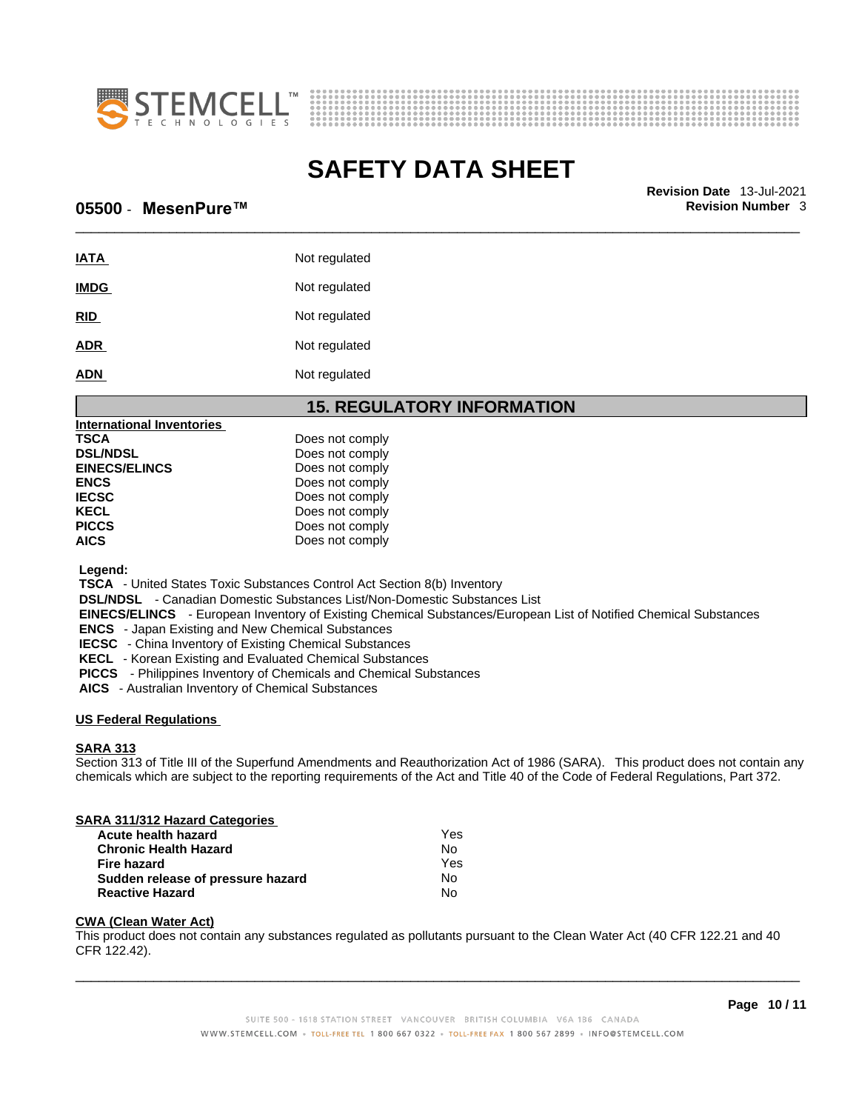



\_\_\_\_\_\_\_\_\_\_\_\_\_\_\_\_\_\_\_\_\_\_\_\_\_\_\_\_\_\_\_\_\_\_\_\_\_\_\_\_\_\_\_\_\_\_\_\_\_\_\_\_\_\_\_\_\_\_\_\_\_\_\_\_\_\_\_\_\_\_\_\_\_\_\_\_\_\_\_\_\_\_\_\_\_\_\_\_\_\_\_\_\_ **Revision Date** 13-Jul-2021

### **05500** - **MesenPure™ Revision Number** 3

| <b>IATA</b> | Not regulated |
|-------------|---------------|
| <b>IMDG</b> | Not regulated |
| <b>RID</b>  | Not regulated |
| <b>ADR</b>  | Not regulated |
| <b>ADN</b>  | Not regulated |

# **15. REGULATORY INFORMATION**

| <b>International Inventories</b> |                 |  |
|----------------------------------|-----------------|--|
| TSCA                             | Does not comply |  |
| <b>DSL/NDSL</b>                  | Does not comply |  |
| <b>EINECS/ELINCS</b>             | Does not comply |  |
| <b>ENCS</b>                      | Does not comply |  |
| <b>IECSC</b>                     | Does not comply |  |
| KECL                             | Does not comply |  |
| <b>PICCS</b>                     | Does not comply |  |
| AICS                             | Does not comply |  |
|                                  |                 |  |

 **Legend:** 

 **TSCA** - United States Toxic Substances Control Act Section 8(b) Inventory

 **DSL/NDSL** - Canadian Domestic Substances List/Non-Domestic Substances List

 **EINECS/ELINCS** - European Inventory of Existing Chemical Substances/European List of Notified Chemical Substances

 **ENCS** - Japan Existing and New Chemical Substances

 **IECSC** - China Inventory of Existing Chemical Substances

 **KECL** - Korean Existing and Evaluated Chemical Substances

 **PICCS** - Philippines Inventory of Chemicals and Chemical Substances

 **AICS** - Australian Inventory of Chemical Substances

#### **US Federal Regulations**

#### **SARA 313**

Section 313 of Title III of the Superfund Amendments and Reauthorization Act of 1986 (SARA). This product does not contain any chemicals which are subject to the reporting requirements of the Act and Title 40 of the Code of Federal Regulations, Part 372.

# **SARA 311/312 Hazard Categories Acute health hazard Contract Contract Contract Pressure Theory of the Vest Chronic Health Hazard Chronic Health Hazard**

| Fire hazard                       | Yes |
|-----------------------------------|-----|
| Sudden release of pressure hazard | Nο  |
| <b>Reactive Hazard</b>            | No  |

#### **CWA (Clean WaterAct)**

This product does not contain any substances regulated as pollutants pursuant to the Clean Water Act (40 CFR 122.21 and 40 CFR 122.42).